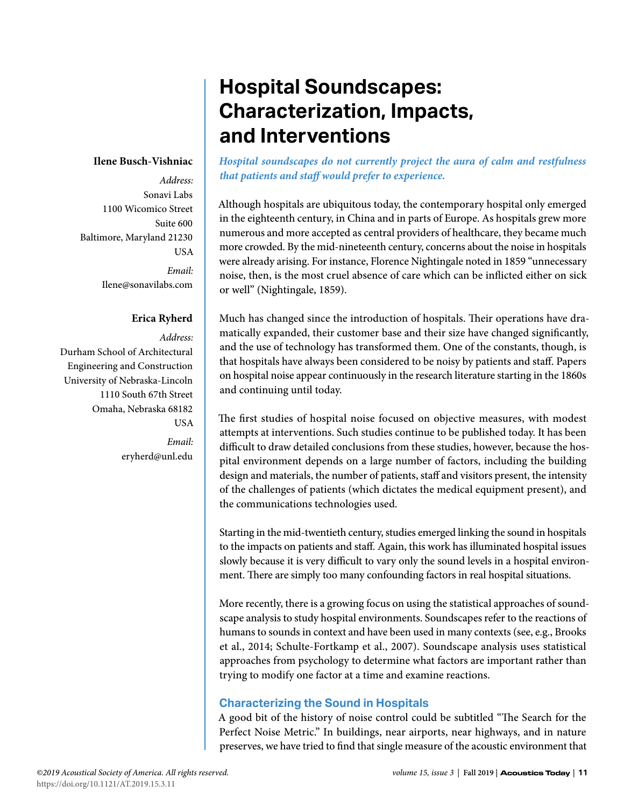## **Ilene Busch-Vishniac**

*Address:* Sonavi Labs 1100 Wicomico Street Suite 600 Baltimore, Maryland 21230 USA *Email:* Ilene@sonavilabs.com

#### **Erica Ryherd**

*Address:* Durham School of Architectural Engineering and Construction University of Nebraska-Lincoln 1110 South 67th Street Omaha, Nebraska 68182 USA

> *Email:* eryherd@unl.edu

# **Hospital Soundscapes: Characterization, Impacts, and Interventions**

*Hospital soundscapes do not currently project the aura of calm and restfulness that patients and staff would prefer to experience.* 

Although hospitals are ubiquitous today, the contemporary hospital only emerged in the eighteenth century, in China and in parts of Europe. As hospitals grew more numerous and more accepted as central providers of healthcare, they became much more crowded. By the mid-nineteenth century, concerns about the noise in hospitals were already arising. For instance, Florence Nightingale noted in 1859 "unnecessary noise, then, is the most cruel absence of care which can be inflicted either on sick or well" (Nightingale, 1859).

Much has changed since the introduction of hospitals. Their operations have dramatically expanded, their customer base and their size have changed significantly, and the use of technology has transformed them. One of the constants, though, is that hospitals have always been considered to be noisy by patients and staff. Papers on hospital noise appear continuously in the research literature starting in the 1860s and continuing until today.

The first studies of hospital noise focused on objective measures, with modest attempts at interventions. Such studies continue to be published today. It has been difficult to draw detailed conclusions from these studies, however, because the hospital environment depends on a large number of factors, including the building design and materials, the number of patients, staff and visitors present, the intensity of the challenges of patients (which dictates the medical equipment present), and the communications technologies used.

Starting in the mid-twentieth century, studies emerged linking the sound in hospitals to the impacts on patients and staff. Again, this work has illuminated hospital issues slowly because it is very difficult to vary only the sound levels in a hospital environment. There are simply too many confounding factors in real hospital situations.

More recently, there is a growing focus on using the statistical approaches of soundscape analysis to study hospital environments. Soundscapes refer to the reactions of humans to sounds in context and have been used in many contexts (see, e.g., Brooks et al., 2014; Schulte-Fortkamp et al., 2007). Soundscape analysis uses statistical approaches from psychology to determine what factors are important rather than trying to modify one factor at a time and examine reactions.

# **Characterizing the Sound in Hospitals**

A good bit of the history of noise control could be subtitled "The Search for the Perfect Noise Metric." In buildings, near airports, near highways, and in nature preserves, we have tried to find that single measure of the acoustic environment that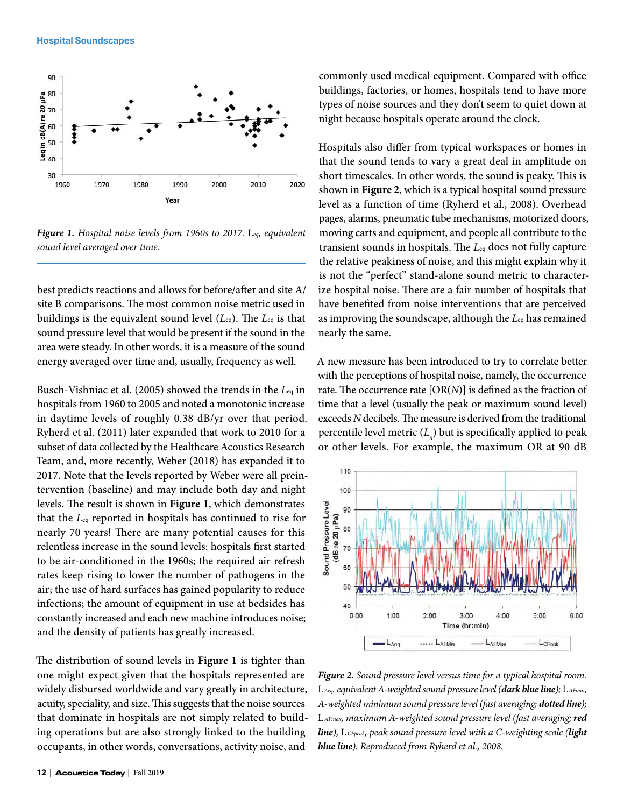

*Figure 1. Hospital noise levels from 1960s to 2017.* L*eq, equivalent sound level averaged over time.*

best predicts reactions and allows for before/after and site A/ site B comparisons. The most common noise metric used in buildings is the equivalent sound level (*L*eq). The *L*eq is that sound pressure level that would be present if the sound in the area were steady. In other words, it is a measure of the sound energy averaged over time and, usually, frequency as well.

Busch-Vishniac et al. (2005) showed the trends in the *L*eq in hospitals from 1960 to 2005 and noted a monotonic increase in daytime levels of roughly 0.38 dB/yr over that period. Ryherd et al. (2011) later expanded that work to 2010 for a subset of data collected by the Healthcare Acoustics Research Team, and, more recently, Weber (2018) has expanded it to 2017. Note that the levels reported by Weber were all preintervention (baseline) and may include both day and night levels. The result is shown in **Figure 1**, which demonstrates that the *L*eq reported in hospitals has continued to rise for nearly 70 years! There are many potential causes for this relentless increase in the sound levels: hospitals first started to be air-conditioned in the 1960s; the required air refresh rates keep rising to lower the number of pathogens in the air; the use of hard surfaces has gained popularity to reduce infections; the amount of equipment in use at bedsides has constantly increased and each new machine introduces noise; and the density of patients has greatly increased.

The distribution of sound levels in **Figure 1** is tighter than one might expect given that the hospitals represented are widely disbursed worldwide and vary greatly in architecture, acuity, speciality, and size. This suggests that the noise sources that dominate in hospitals are not simply related to building operations but are also strongly linked to the building occupants, in other words, conversations, activity noise, and

commonly used medical equipment. Compared with office buildings, factories, or homes, hospitals tend to have more types of noise sources and they don't seem to quiet down at night because hospitals operate around the clock.

Hospitals also differ from typical workspaces or homes in that the sound tends to vary a great deal in amplitude on short timescales. In other words, the sound is peaky. This is shown in **Figure 2**, which is a typical hospital sound pressure level as a function of time (Ryherd et al., 2008). Overhead pages, alarms, pneumatic tube mechanisms, motorized doors, moving carts and equipment, and people all contribute to the transient sounds in hospitals. The *L*eq does not fully capture the relative peakiness of noise, and this might explain why it is not the "perfect" stand-alone sound metric to characterize hospital noise. There are a fair number of hospitals that have benefited from noise interventions that are perceived as improving the soundscape, although the *L*eq has remained nearly the same.

A new measure has been introduced to try to correlate better with the perceptions of hospital noise, namely, the occurrence rate. The occurrence rate [OR(*N*)] is defined as the fraction of time that a level (usually the peak or maximum sound level) exceeds *N* decibels. The measure is derived from the traditional percentile level metric  $(L_{n}^{\{p\}})$  but is specifically applied to peak or other levels. For example, the maximum OR at 90 dB



*Figure 2. Sound pressure level versus time for a typical hospital room.*  L*Aeq, equivalent A-weighted sound pressure level (dark blue line);* L*AFmin, A-weighted minimum sound pressure level (fast averaging; dotted line);*  L *AFmax, maximum A-weighted sound pressure level (fast averaging; red line),* L *CFpeak, peak sound pressure level with a C-weighting scale (light blue line). Reproduced from Ryherd et al., 2008.*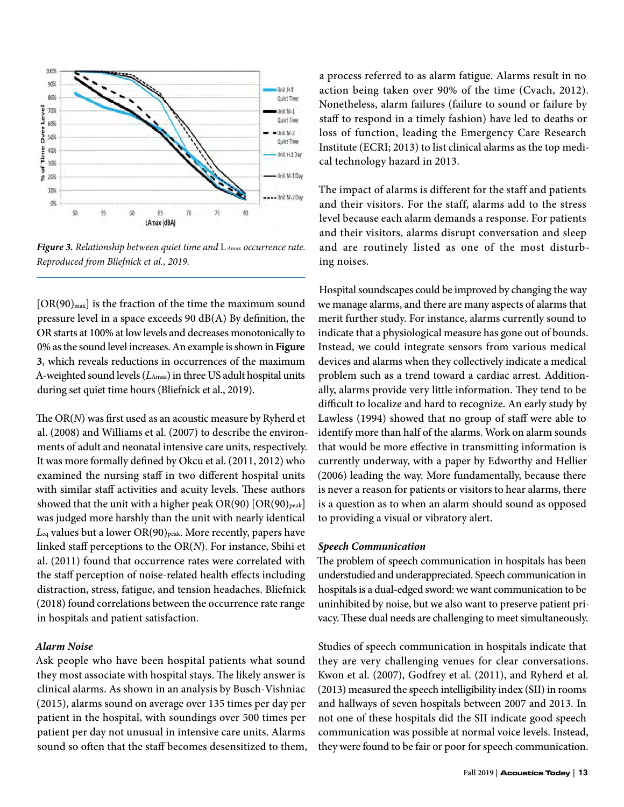

*Figure 3. Relationship between quiet time and* L *Amax occurrence rate. Reproduced from Bliefnick et al., 2019.*

 $[OR(90)_{max}]$  is the fraction of the time the maximum sound pressure level in a space exceeds 90 dB(A) By definition, the OR starts at 100% at low levels and decreases monotonically to 0% as the sound level increases. An example is shown in **Figure 3**, which reveals reductions in occurrences of the maximum A-weighted sound levels (*L*Amax) in three US adult hospital units during set quiet time hours (Bliefnick et al., 2019).

The OR(*N*) was first used as an acoustic measure by Ryherd et al. (2008) and Williams et al. (2007) to describe the environments of adult and neonatal intensive care units, respectively. It was more formally defined by Okcu et al. (2011, 2012) who examined the nursing staff in two different hospital units with similar staff activities and acuity levels. These authors showed that the unit with a higher peak  $OR(90)$   $[OR(90)$ <sub>peak</sub>] was judged more harshly than the unit with nearly identical Leq values but a lower OR(90)<sub>peak</sub>. More recently, papers have linked staff perceptions to the OR(*N*). For instance, Sbihi et al. (2011) found that occurrence rates were correlated with the staff perception of noise-related health effects including distraction, stress, fatigue, and tension headaches. Bliefnick (2018) found correlations between the occurrence rate range in hospitals and patient satisfaction.

#### *Alarm Noise*

Ask people who have been hospital patients what sound they most associate with hospital stays. The likely answer is clinical alarms. As shown in an analysis by Busch-Vishniac (2015), alarms sound on average over 135 times per day per patient in the hospital, with soundings over 500 times per patient per day not unusual in intensive care units. Alarms sound so often that the staff becomes desensitized to them, a process referred to as alarm fatigue. Alarms result in no action being taken over 90% of the time (Cvach, 2012). Nonetheless, alarm failures (failure to sound or failure by staff to respond in a timely fashion) have led to deaths or loss of function, leading the Emergency Care Research Institute (ECRI; 2013) to list clinical alarms as the top medical technology hazard in 2013.

The impact of alarms is different for the staff and patients and their visitors. For the staff, alarms add to the stress level because each alarm demands a response. For patients and their visitors, alarms disrupt conversation and sleep and are routinely listed as one of the most disturbing noises.

Hospital soundscapes could be improved by changing the way we manage alarms, and there are many aspects of alarms that merit further study. For instance, alarms currently sound to indicate that a physiological measure has gone out of bounds. Instead, we could integrate sensors from various medical devices and alarms when they collectively indicate a medical problem such as a trend toward a cardiac arrest. Additionally, alarms provide very little information. They tend to be difficult to localize and hard to recognize. An early study by Lawless (1994) showed that no group of staff were able to identify more than half of the alarms. Work on alarm sounds that would be more effective in transmitting information is currently underway, with a paper by Edworthy and Hellier (2006) leading the way. More fundamentally, because there is never a reason for patients or visitors to hear alarms, there is a question as to when an alarm should sound as opposed to providing a visual or vibratory alert.

#### *Speech Communication*

The problem of speech communication in hospitals has been understudied and underappreciated. Speech communication in hospitals is a dual-edged sword: we want communication to be uninhibited by noise, but we also want to preserve patient privacy. These dual needs are challenging to meet simultaneously.

Studies of speech communication in hospitals indicate that they are very challenging venues for clear conversations. Kwon et al. (2007), Godfrey et al. (2011), and Ryherd et al. (2013) measured the speech intelligibility index (SII) in rooms and hallways of seven hospitals between 2007 and 2013. In not one of these hospitals did the SII indicate good speech communication was possible at normal voice levels. Instead, they were found to be fair or poor for speech communication.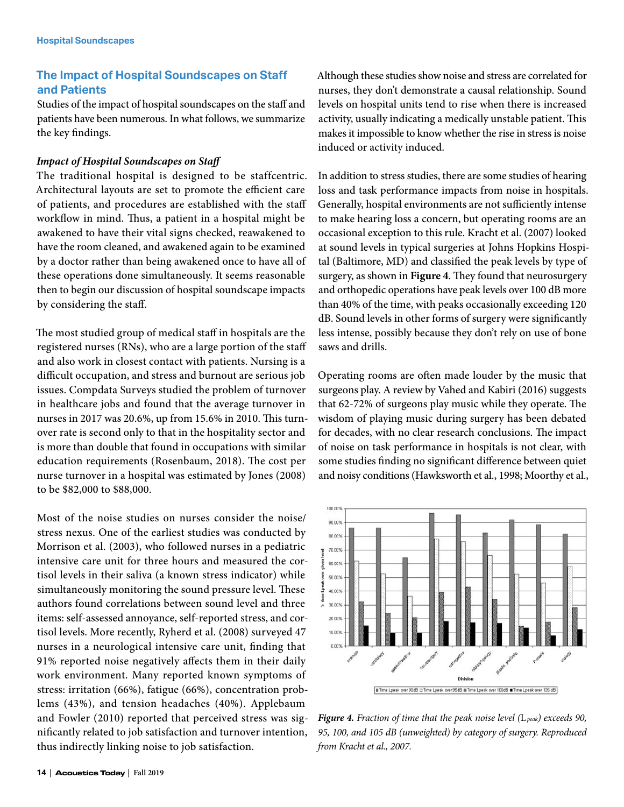# **The Impact of Hospital Soundscapes on Staff and Patients**

Studies of the impact of hospital soundscapes on the staff and patients have been numerous. In what follows, we summarize the key findings.

#### *Impact of Hospital Soundscapes on Staff*

The traditional hospital is designed to be staffcentric. Architectural layouts are set to promote the efficient care of patients, and procedures are established with the staff workflow in mind. Thus, a patient in a hospital might be awakened to have their vital signs checked, reawakened to have the room cleaned, and awakened again to be examined by a doctor rather than being awakened once to have all of these operations done simultaneously. It seems reasonable then to begin our discussion of hospital soundscape impacts by considering the staff.

The most studied group of medical staff in hospitals are the registered nurses (RNs), who are a large portion of the staff and also work in closest contact with patients. Nursing is a difficult occupation, and stress and burnout are serious job issues. Compdata Surveys studied the problem of turnover in healthcare jobs and found that the average turnover in nurses in 2017 was 20.6%, up from 15.6% in 2010. This turnover rate is second only to that in the hospitality sector and is more than double that found in occupations with similar education requirements (Rosenbaum, 2018). The cost per nurse turnover in a hospital was estimated by Jones (2008) to be \$82,000 to \$88,000.

Most of the noise studies on nurses consider the noise/ stress nexus. One of the earliest studies was conducted by Morrison et al. (2003), who followed nurses in a pediatric intensive care unit for three hours and measured the cortisol levels in their saliva (a known stress indicator) while simultaneously monitoring the sound pressure level. These authors found correlations between sound level and three items: self-assessed annoyance, self-reported stress, and cortisol levels. More recently, Ryherd et al. (2008) surveyed 47 nurses in a neurological intensive care unit, finding that 91% reported noise negatively affects them in their daily work environment. Many reported known symptoms of stress: irritation (66%), fatigue (66%), concentration problems (43%), and tension headaches (40%). Applebaum and Fowler (2010) reported that perceived stress was significantly related to job satisfaction and turnover intention, thus indirectly linking noise to job satisfaction.

Although these studies show noise and stress are correlated for nurses, they don't demonstrate a causal relationship. Sound levels on hospital units tend to rise when there is increased activity, usually indicating a medically unstable patient. This makes it impossible to know whether the rise in stress is noise induced or activity induced.

In addition to stress studies, there are some studies of hearing loss and task performance impacts from noise in hospitals. Generally, hospital environments are not sufficiently intense to make hearing loss a concern, but operating rooms are an occasional exception to this rule. Kracht et al. (2007) looked at sound levels in typical surgeries at Johns Hopkins Hospital (Baltimore, MD) and classified the peak levels by type of surgery, as shown in **Figure 4**. They found that neurosurgery and orthopedic operations have peak levels over 100 dB more than 40% of the time, with peaks occasionally exceeding 120 dB. Sound levels in other forms of surgery were significantly less intense, possibly because they don't rely on use of bone saws and drills.

Operating rooms are often made louder by the music that surgeons play. A review by Vahed and Kabiri (2016) suggests that 62-72% of surgeons play music while they operate. The wisdom of playing music during surgery has been debated for decades, with no clear research conclusions. The impact of noise on task performance in hospitals is not clear, with some studies finding no significant difference between quiet and noisy conditions (Hawksworth et al., 1998; Moorthy et al.,



*Figure 4. Fraction of time that the peak noise level (*L*peak) exceeds 90, 95, 100, and 105 dB (unweighted) by category of surgery. Reproduced from Kracht et al., 2007.*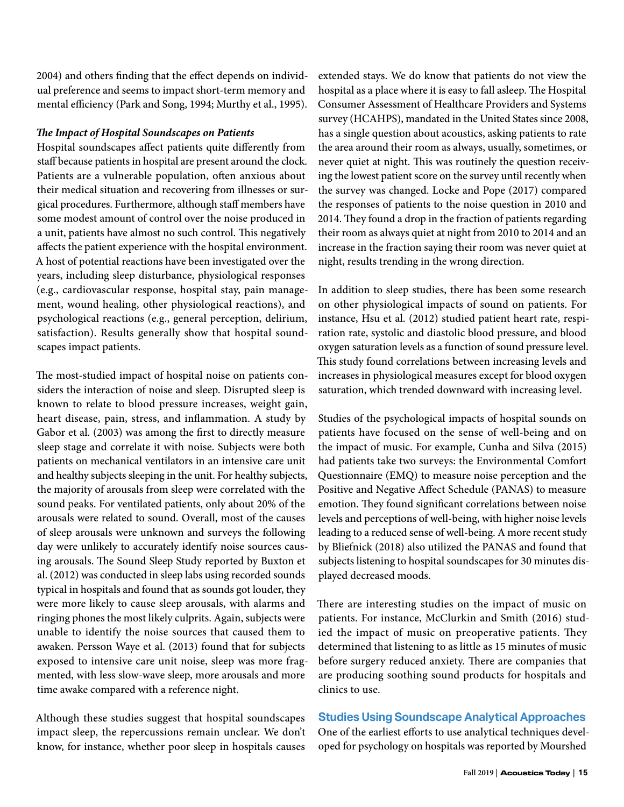2004) and others finding that the effect depends on individual preference and seems to impact short-term memory and mental efficiency (Park and Song, 1994; Murthy et al., 1995).

#### *The Impact of Hospital Soundscapes on Patients*

Hospital soundscapes affect patients quite differently from staff because patients in hospital are present around the clock. Patients are a vulnerable population, often anxious about their medical situation and recovering from illnesses or surgical procedures. Furthermore, although staff members have some modest amount of control over the noise produced in a unit, patients have almost no such control. This negatively affects the patient experience with the hospital environment. A host of potential reactions have been investigated over the years, including sleep disturbance, physiological responses (e.g., cardiovascular response, hospital stay, pain management, wound healing, other physiological reactions), and psychological reactions (e.g., general perception, delirium, satisfaction). Results generally show that hospital soundscapes impact patients.

The most-studied impact of hospital noise on patients considers the interaction of noise and sleep. Disrupted sleep is known to relate to blood pressure increases, weight gain, heart disease, pain, stress, and inflammation. A study by Gabor et al. (2003) was among the first to directly measure sleep stage and correlate it with noise. Subjects were both patients on mechanical ventilators in an intensive care unit and healthy subjects sleeping in the unit. For healthy subjects, the majority of arousals from sleep were correlated with the sound peaks. For ventilated patients, only about 20% of the arousals were related to sound. Overall, most of the causes of sleep arousals were unknown and surveys the following day were unlikely to accurately identify noise sources causing arousals. The Sound Sleep Study reported by Buxton et al. (2012) was conducted in sleep labs using recorded sounds typical in hospitals and found that as sounds got louder, they were more likely to cause sleep arousals, with alarms and ringing phones the most likely culprits. Again, subjects were unable to identify the noise sources that caused them to awaken. Persson Waye et al. (2013) found that for subjects exposed to intensive care unit noise, sleep was more fragmented, with less slow-wave sleep, more arousals and more time awake compared with a reference night.

Although these studies suggest that hospital soundscapes impact sleep, the repercussions remain unclear. We don't know, for instance, whether poor sleep in hospitals causes extended stays. We do know that patients do not view the hospital as a place where it is easy to fall asleep. The Hospital Consumer Assessment of Healthcare Providers and Systems survey (HCAHPS), mandated in the United States since 2008, has a single question about acoustics, asking patients to rate the area around their room as always, usually, sometimes, or never quiet at night. This was routinely the question receiving the lowest patient score on the survey until recently when the survey was changed. Locke and Pope (2017) compared the responses of patients to the noise question in 2010 and 2014. They found a drop in the fraction of patients regarding their room as always quiet at night from 2010 to 2014 and an increase in the fraction saying their room was never quiet at night, results trending in the wrong direction.

In addition to sleep studies, there has been some research on other physiological impacts of sound on patients. For instance, Hsu et al. (2012) studied patient heart rate, respiration rate, systolic and diastolic blood pressure, and blood oxygen saturation levels as a function of sound pressure level. This study found correlations between increasing levels and increases in physiological measures except for blood oxygen saturation, which trended downward with increasing level.

Studies of the psychological impacts of hospital sounds on patients have focused on the sense of well-being and on the impact of music. For example, Cunha and Silva (2015) had patients take two surveys: the Environmental Comfort Questionnaire (EMQ) to measure noise perception and the Positive and Negative Affect Schedule (PANAS) to measure emotion. They found significant correlations between noise levels and perceptions of well-being, with higher noise levels leading to a reduced sense of well-being. A more recent study by Bliefnick (2018) also utilized the PANAS and found that subjects listening to hospital soundscapes for 30 minutes displayed decreased moods.

There are interesting studies on the impact of music on patients. For instance, McClurkin and Smith (2016) studied the impact of music on preoperative patients. They determined that listening to as little as 15 minutes of music before surgery reduced anxiety. There are companies that are producing soothing sound products for hospitals and clinics to use.

# **Studies Using Soundscape Analytical Approaches**

One of the earliest efforts to use analytical techniques developed for psychology on hospitals was reported by Mourshed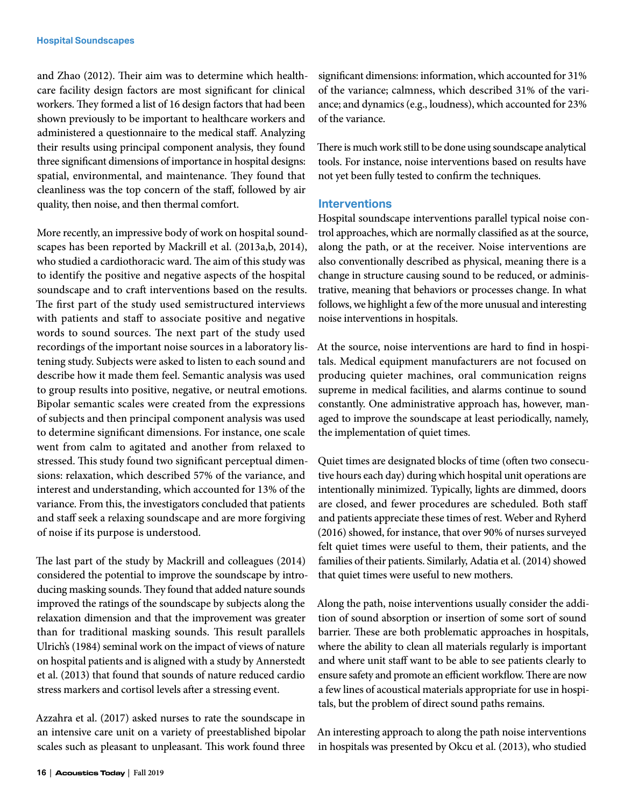and Zhao (2012). Their aim was to determine which healthcare facility design factors are most significant for clinical workers. They formed a list of 16 design factors that had been shown previously to be important to healthcare workers and administered a questionnaire to the medical staff. Analyzing their results using principal component analysis, they found three significant dimensions of importance in hospital designs: spatial, environmental, and maintenance. They found that cleanliness was the top concern of the staff, followed by air quality, then noise, and then thermal comfort.

More recently, an impressive body of work on hospital soundscapes has been reported by Mackrill et al. (2013a,b, 2014), who studied a cardiothoracic ward. The aim of this study was to identify the positive and negative aspects of the hospital soundscape and to craft interventions based on the results. The first part of the study used semistructured interviews with patients and staff to associate positive and negative words to sound sources. The next part of the study used recordings of the important noise sources in a laboratory listening study. Subjects were asked to listen to each sound and describe how it made them feel. Semantic analysis was used to group results into positive, negative, or neutral emotions. Bipolar semantic scales were created from the expressions of subjects and then principal component analysis was used to determine significant dimensions. For instance, one scale went from calm to agitated and another from relaxed to stressed. This study found two significant perceptual dimensions: relaxation, which described 57% of the variance, and interest and understanding, which accounted for 13% of the variance. From this, the investigators concluded that patients and staff seek a relaxing soundscape and are more forgiving of noise if its purpose is understood.

The last part of the study by Mackrill and colleagues (2014) considered the potential to improve the soundscape by introducing masking sounds. They found that added nature sounds improved the ratings of the soundscape by subjects along the relaxation dimension and that the improvement was greater than for traditional masking sounds. This result parallels Ulrich's (1984) seminal work on the impact of views of nature on hospital patients and is aligned with a study by Annerstedt et al. (2013) that found that sounds of nature reduced cardio stress markers and cortisol levels after a stressing event.

Azzahra et al. (2017) asked nurses to rate the soundscape in an intensive care unit on a variety of preestablished bipolar scales such as pleasant to unpleasant. This work found three

significant dimensions: information, which accounted for 31% of the variance; calmness, which described 31% of the variance; and dynamics (e.g., loudness), which accounted for 23% of the variance.

There is much work still to be done using soundscape analytical tools. For instance, noise interventions based on results have not yet been fully tested to confirm the techniques.

#### **Interventions**

Hospital soundscape interventions parallel typical noise control approaches, which are normally classified as at the source, along the path, or at the receiver. Noise interventions are also conventionally described as physical, meaning there is a change in structure causing sound to be reduced, or administrative, meaning that behaviors or processes change. In what follows, we highlight a few of the more unusual and interesting noise interventions in hospitals.

At the source, noise interventions are hard to find in hospitals. Medical equipment manufacturers are not focused on producing quieter machines, oral communication reigns supreme in medical facilities, and alarms continue to sound constantly. One administrative approach has, however, managed to improve the soundscape at least periodically, namely, the implementation of quiet times.

Quiet times are designated blocks of time (often two consecutive hours each day) during which hospital unit operations are intentionally minimized. Typically, lights are dimmed, doors are closed, and fewer procedures are scheduled. Both staff and patients appreciate these times of rest. Weber and Ryherd (2016) showed, for instance, that over 90% of nurses surveyed felt quiet times were useful to them, their patients, and the families of their patients. Similarly, Adatia et al. (2014) showed that quiet times were useful to new mothers.

Along the path, noise interventions usually consider the addition of sound absorption or insertion of some sort of sound barrier. These are both problematic approaches in hospitals, where the ability to clean all materials regularly is important and where unit staff want to be able to see patients clearly to ensure safety and promote an efficient workflow. There are now a few lines of acoustical materials appropriate for use in hospitals, but the problem of direct sound paths remains.

An interesting approach to along the path noise interventions in hospitals was presented by Okcu et al. (2013), who studied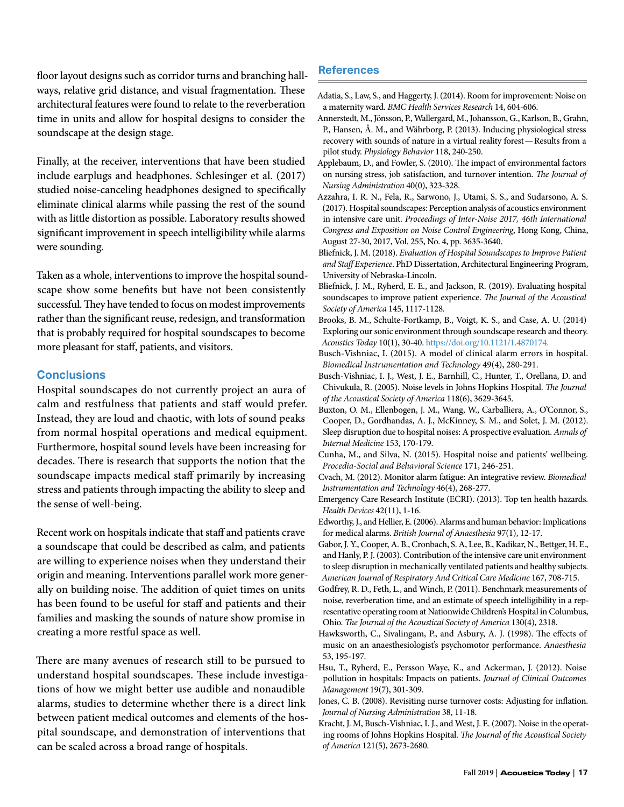floor layout designs such as corridor turns and branching hallways, relative grid distance, and visual fragmentation. These architectural features were found to relate to the reverberation time in units and allow for hospital designs to consider the soundscape at the design stage.

Finally, at the receiver, interventions that have been studied include earplugs and headphones. Schlesinger et al. (2017) studied noise-canceling headphones designed to specifically eliminate clinical alarms while passing the rest of the sound with as little distortion as possible. Laboratory results showed significant improvement in speech intelligibility while alarms were sounding.

Taken as a whole, interventions to improve the hospital soundscape show some benefits but have not been consistently successful. They have tended to focus on modest improvements rather than the significant reuse, redesign, and transformation that is probably required for hospital soundscapes to become more pleasant for staff, patients, and visitors.

## **Conclusions**

Hospital soundscapes do not currently project an aura of calm and restfulness that patients and staff would prefer. Instead, they are loud and chaotic, with lots of sound peaks from normal hospital operations and medical equipment. Furthermore, hospital sound levels have been increasing for decades. There is research that supports the notion that the soundscape impacts medical staff primarily by increasing stress and patients through impacting the ability to sleep and the sense of well-being.

Recent work on hospitals indicate that staff and patients crave a soundscape that could be described as calm, and patients are willing to experience noises when they understand their origin and meaning. Interventions parallel work more generally on building noise. The addition of quiet times on units has been found to be useful for staff and patients and their families and masking the sounds of nature show promise in creating a more restful space as well.

There are many avenues of research still to be pursued to understand hospital soundscapes. These include investigations of how we might better use audible and nonaudible alarms, studies to determine whether there is a direct link between patient medical outcomes and elements of the hospital soundscape, and demonstration of interventions that can be scaled across a broad range of hospitals.

# **References**

- Adatia, S., Law, S., and Haggerty, J. (2014). Room for improvement: Noise on a maternity ward. *BMC Health Services Research* 14, 604-606.
- Annerstedt, M., Jönsson, P., Wallergard, M., Johansson, G., Karlson, B., Grahn, P., Hansen, Å. M., and Währborg, P. (2013). Inducing physiological stress recovery with sounds of nature in a virtual reality forest—Results from a pilot study. *Physiology Behavior* 118, 240-250.
- Applebaum, D., and Fowler, S. (2010). The impact of environmental factors on nursing stress, job satisfaction, and turnover intention. *The Journal of Nursing Administration* 40(0), 323-328.
- Azzahra, I. R. N., Fela, R., Sarwono, J., Utami, S. S., and Sudarsono, A. S. (2017). Hospital soundscapes: Perception analysis of acoustics environment in intensive care unit. *Proceedings of Inter-Noise 2017, 46th International Congress and Exposition on Noise Control Engineering*, Hong Kong, China, August 27-30, 2017, Vol. 255, No. 4, pp. 3635-3640.
- Bliefnick, J. M. (2018). *Evaluation of Hospital Soundscapes to Improve Patient and Staff Experience*. PhD Dissertation, Architectural Engineering Program, University of Nebraska-Lincoln.
- Bliefnick, J. M., Ryherd, E. E., and Jackson, R. (2019). Evaluating hospital soundscapes to improve patient experience. *The Journal of the Acoustical Society of America* 145, 1117-1128.
- Brooks, B. M., Schulte-Fortkamp, B., Voigt, K. S., and Case, A. U. (2014) Exploring our sonic environment through soundscape research and theory. *Acoustics Today* 10(1), 30-40. [https://doi.org/10.1121/1.4870174.](https://doi.org/10.1121/1.4870174)
- Busch-Vishniac, I. (2015). A model of clinical alarm errors in hospital. *Biomedical Instrumentation and Technology* 49(4), 280-291.
- Busch-Vishniac, I. J., West, J. E., Barnhill, C., Hunter, T., Orellana, D. and Chivukula, R. (2005). Noise levels in Johns Hopkins Hospital. *The Journal of the Acoustical Society of America* 118(6), 3629-3645.
- Buxton, O. M., Ellenbogen, J. M., Wang, W., Carballiera, A., O'Connor, S., Cooper, D., Gordhandas, A. J., McKinney, S. M., and Solet, J. M. (2012). Sleep disruption due to hospital noises: A prospective evaluation. *Annals of Internal Medicine* 153, 170-179.
- Cunha, M., and Silva, N. (2015). Hospital noise and patients' wellbeing. *Procedia-Social and Behavioral Science* 171, 246-251.
- Cvach, M. (2012). Monitor alarm fatigue: An integrative review. *Biomedical Instrumentation and Technology* 46(4), 268-277.
- Emergency Care Research Institute (ECRI). (2013). Top ten health hazards. *Health Devices* 42(11), 1-16.
- Edworthy, J., and Hellier, E. (2006). Alarms and human behavior: Implications for medical alarms. *British Journal of Anaesthesia* 97(1), 12-17.
- Gabor, J. Y., Cooper, A. B., Cronbach, S. A, Lee, B., Kadikar, N., Bettger, H. E., and Hanly, P. J. (2003). Contribution of the intensive care unit environment to sleep disruption in mechanically ventilated patients and healthy subjects. *American Journal of Respiratory And Critical Care Medicine* 167, 708-715.
- Godfrey, R. D., Feth, L., and Winch, P. (2011). Benchmark measurements of noise, reverberation time, and an estimate of speech intelligibility in a representative operating room at Nationwide Children's Hospital in Columbus, Ohio. *The Journal of the Acoustical Society of America* 130(4), 2318.
- Hawksworth, C., Sivalingam, P., and Asbury, A. J. (1998). The effects of music on an anaesthesiologist's psychomotor performance. *Anaesthesia* 53, 195-197.
- Hsu, T., Ryherd, E., Persson Waye, K., and Ackerman, J. (2012). Noise pollution in hospitals: Impacts on patients. *Journal of Clinical Outcomes Management* 19(7), 301-309.
- Jones, C. B. (2008). Revisiting nurse turnover costs: Adjusting for inflation. *Journal of Nursing Administration* 38, 11-18.
- Kracht, J. M, Busch-Vishniac, I. J., and West, J. E. (2007). Noise in the operating rooms of Johns Hopkins Hospital. *The Journal of the Acoustical Society of America* 121(5), 2673-2680.